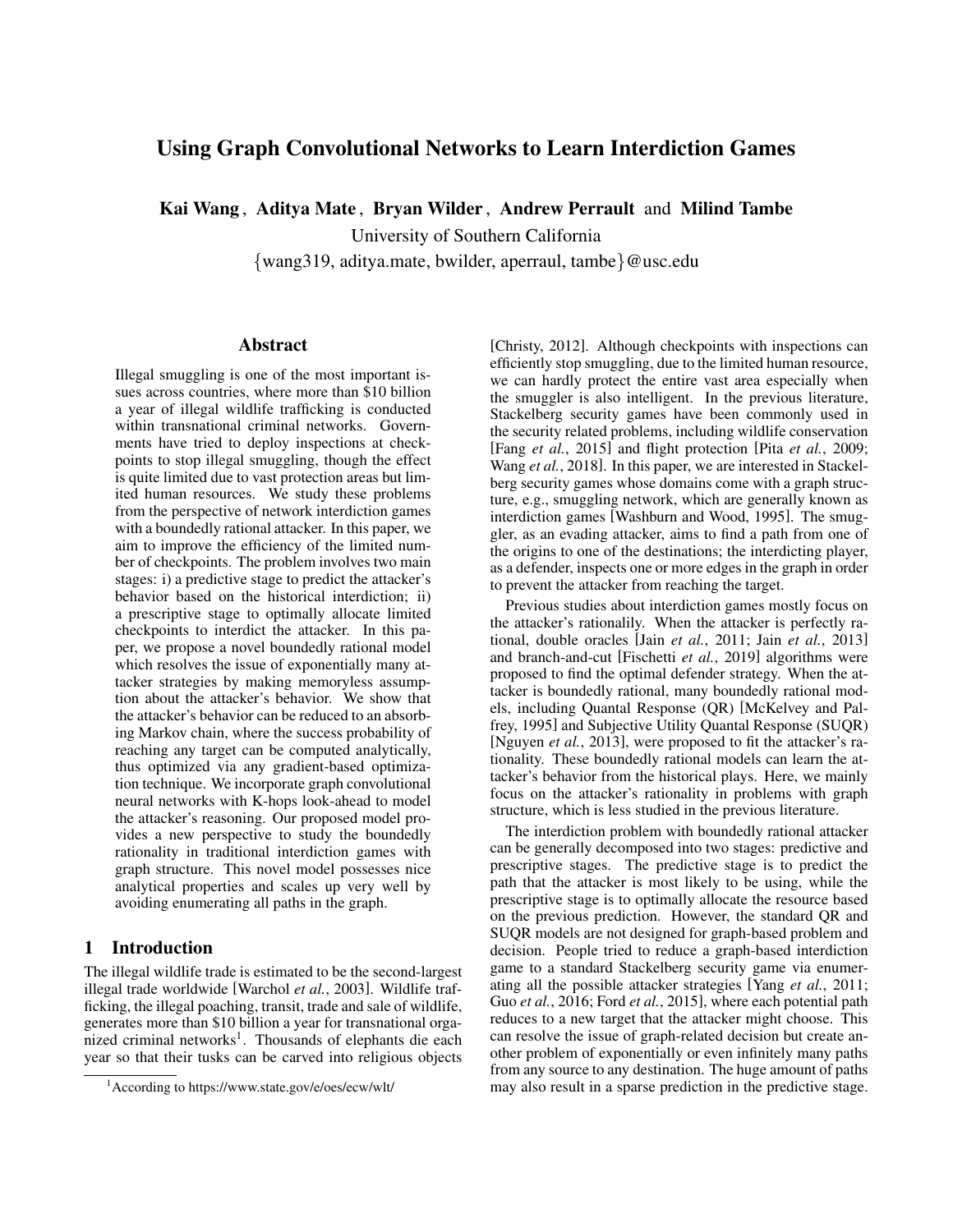# Using Graph Convolutional Networks to Learn Interdiction Games

Kai Wang , Aditya Mate , Bryan Wilder , Andrew Perrault and Milind Tambe

University of Southern California

{wang319, aditya.mate, bwilder, aperraul, tambe}@usc.edu

### Abstract

Illegal smuggling is one of the most important issues across countries, where more than \$10 billion a year of illegal wildlife trafficking is conducted within transnational criminal networks. Governments have tried to deploy inspections at checkpoints to stop illegal smuggling, though the effect is quite limited due to vast protection areas but limited human resources. We study these problems from the perspective of network interdiction games with a boundedly rational attacker. In this paper, we aim to improve the efficiency of the limited number of checkpoints. The problem involves two main stages: i) a predictive stage to predict the attacker's behavior based on the historical interdiction; ii) a prescriptive stage to optimally allocate limited checkpoints to interdict the attacker. In this paper, we propose a novel boundedly rational model which resolves the issue of exponentially many attacker strategies by making memoryless assumption about the attacker's behavior. We show that the attacker's behavior can be reduced to an absorbing Markov chain, where the success probability of reaching any target can be computed analytically, thus optimized via any gradient-based optimization technique. We incorporate graph convolutional neural networks with K-hops look-ahead to model the attacker's reasoning. Our proposed model provides a new perspective to study the boundedly rationality in traditional interdiction games with graph structure. This novel model possesses nice analytical properties and scales up very well by avoiding enumerating all paths in the graph.

# 1 Introduction

The illegal wildlife trade is estimated to be the second-largest illegal trade worldwide [\[Warchol](#page-4-0) *et al.*, 2003]. Wildlife trafficking, the illegal poaching, transit, trade and sale of wildlife, generates more than \$10 billion a year for transnational organized criminal networks<sup>1</sup>. Thousands of elephants die each year so that their tusks can be carved into religious objects [\[Christy, 2012\]](#page-4-1). Although checkpoints with inspections can efficiently stop smuggling, due to the limited human resource, we can hardly protect the entire vast area especially when the smuggler is also intelligent. In the previous literature, Stackelberg security games have been commonly used in the security related problems, including wildlife conservation [Fang *et al.*[, 2015\]](#page-4-2) and flight protection [Pita *et al.*[, 2009;](#page-4-3) Wang *et al.*[, 2018\]](#page-4-4). In this paper, we are interested in Stackelberg security games whose domains come with a graph structure, e.g., smuggling network, which are generally known as interdiction games [\[Washburn and Wood, 1995\]](#page-4-5). The smuggler, as an evading attacker, aims to find a path from one of the origins to one of the destinations; the interdicting player, as a defender, inspects one or more edges in the graph in order to prevent the attacker from reaching the target.

Previous studies about interdiction games mostly focus on the attacker's rationalily. When the attacker is perfectly rational, double oracles [Jain *et al.*[, 2011;](#page-4-6) Jain *et al.*[, 2013\]](#page-4-7) and branch-and-cut [\[Fischetti](#page-4-8) *et al.*, 2019] algorithms were proposed to find the optimal defender strategy. When the attacker is boundedly rational, many boundedly rational models, including Quantal Response (QR) [\[McKelvey and Pal](#page-4-9)[frey, 1995\]](#page-4-9) and Subjective Utility Quantal Response (SUQR) [\[Nguyen](#page-4-10) *et al.*, 2013], were proposed to fit the attacker's rationality. These boundedly rational models can learn the attacker's behavior from the historical plays. Here, we mainly focus on the attacker's rationality in problems with graph structure, which is less studied in the previous literature.

The interdiction problem with boundedly rational attacker can be generally decomposed into two stages: predictive and prescriptive stages. The predictive stage is to predict the path that the attacker is most likely to be using, while the prescriptive stage is to optimally allocate the resource based on the previous prediction. However, the standard QR and SUQR models are not designed for graph-based problem and decision. People tried to reduce a graph-based interdiction game to a standard Stackelberg security game via enumerating all the possible attacker strategies [Yang *et al.*[, 2011;](#page-4-11) Guo *et al.*[, 2016;](#page-4-12) Ford *et al.*[, 2015\]](#page-4-13), where each potential path reduces to a new target that the attacker might choose. This can resolve the issue of graph-related decision but create another problem of exponentially or even infinitely many paths from any source to any destination. The huge amount of paths may also result in a sparse prediction in the predictive stage.

<sup>1</sup>According to<https://www.state.gov/e/oes/ecw/wlt/>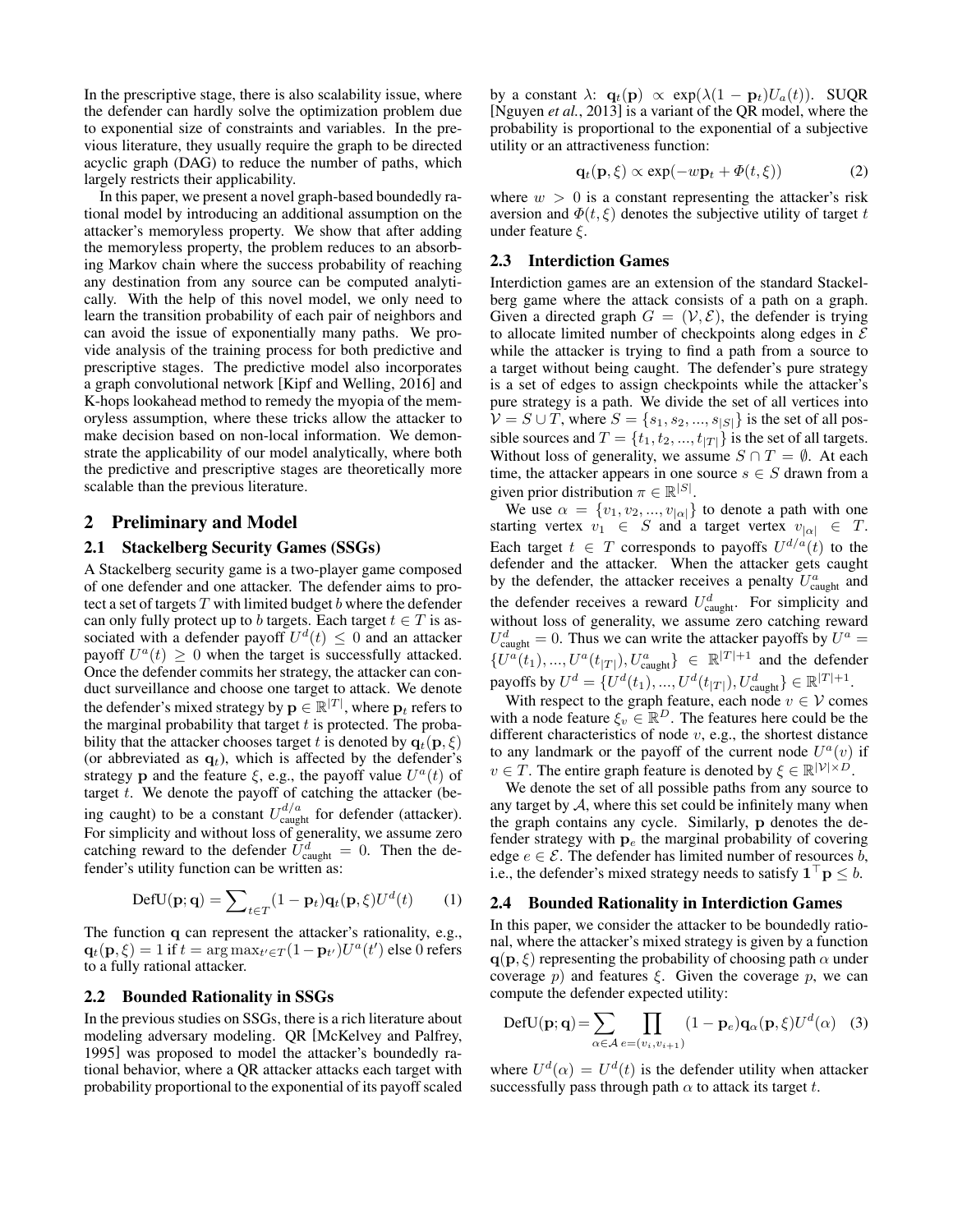In the prescriptive stage, there is also scalability issue, where the defender can hardly solve the optimization problem due to exponential size of constraints and variables. In the previous literature, they usually require the graph to be directed acyclic graph (DAG) to reduce the number of paths, which largely restricts their applicability.

In this paper, we present a novel graph-based boundedly rational model by introducing an additional assumption on the attacker's memoryless property. We show that after adding the memoryless property, the problem reduces to an absorbing Markov chain where the success probability of reaching any destination from any source can be computed analytically. With the help of this novel model, we only need to learn the transition probability of each pair of neighbors and can avoid the issue of exponentially many paths. We provide analysis of the training process for both predictive and prescriptive stages. The predictive model also incorporates a graph convolutional network [\[Kipf and Welling, 2016\]](#page-4-14) and K-hops lookahead method to remedy the myopia of the memoryless assumption, where these tricks allow the attacker to make decision based on non-local information. We demonstrate the applicability of our model analytically, where both the predictive and prescriptive stages are theoretically more scalable than the previous literature.

### 2 Preliminary and Model

### 2.1 Stackelberg Security Games (SSGs)

A Stackelberg security game is a two-player game composed of one defender and one attacker. The defender aims to protect a set of targets  $T$  with limited budget  $b$  where the defender can only fully protect up to b targets. Each target  $t \in T$  is associated with a defender payoff  $U^d(t) \leq 0$  and an attacker payoff  $U^a(t) \geq 0$  when the target is successfully attacked. Once the defender commits her strategy, the attacker can conduct surveillance and choose one target to attack. We denote the defender's mixed strategy by  $\mathbf{p} \in \mathbb{R}^{|T|}$ , where  $\mathbf{p}_t$  refers to the marginal probability that target  $t$  is protected. The probability that the attacker chooses target t is denoted by  $q_t(p, \xi)$ (or abbreviated as  $\mathbf{q}_t$ ), which is affected by the defender's strategy p and the feature  $\xi$ , e.g., the payoff value  $U^a(t)$  of target  $t$ . We denote the payoff of catching the attacker (being caught) to be a constant  $U_{\text{caught}}^{d/a}$  for defender (attacker). For simplicity and without loss of generality, we assume zero catching reward to the defender  $\bar{U}_{\text{caught}}^d = 0$ . Then the defender's utility function can be written as:

$$
DefU(\mathbf{p}; \mathbf{q}) = \sum_{t \in T} (1 - \mathbf{p}_t) \mathbf{q}_t(\mathbf{p}, \xi) U^d(t) \qquad (1)
$$

The function q can represent the attacker's rationality, e.g.,  $\mathbf{q}_t(\mathbf{p}, \xi) = 1$  if  $t = \arg \max_{t' \in T} (1 - \mathbf{p}_{t'}) U^a(t')$  else 0 refers to a fully rational attacker.

### 2.2 Bounded Rationality in SSGs

In the previous studies on SSGs, there is a rich literature about modeling adversary modeling. QR [\[McKelvey and Palfrey,](#page-4-9) [1995\]](#page-4-9) was proposed to model the attacker's boundedly rational behavior, where a QR attacker attacks each target with probability proportional to the exponential of its payoff scaled by a constant  $\lambda$ :  $\mathbf{q}_t(\mathbf{p}) \propto \exp(\lambda(1 - \mathbf{p}_t)U_a(t))$ . SUQR [\[Nguyen](#page-4-10) *et al.*, 2013] is a variant of the QR model, where the probability is proportional to the exponential of a subjective utility or an attractiveness function:

$$
\mathbf{q}_t(\mathbf{p}, \xi) \propto \exp(-w\mathbf{p}_t + \varPhi(t, \xi)) \tag{2}
$$

where  $w > 0$  is a constant representing the attacker's risk aversion and  $\Phi(t, \xi)$  denotes the subjective utility of target t under feature  $\xi$ .

### 2.3 Interdiction Games

Interdiction games are an extension of the standard Stackelberg game where the attack consists of a path on a graph. Given a directed graph  $G = (\mathcal{V}, \mathcal{E})$ , the defender is trying to allocate limited number of checkpoints along edges in  $\mathcal E$ while the attacker is trying to find a path from a source to a target without being caught. The defender's pure strategy is a set of edges to assign checkpoints while the attacker's pure strategy is a path. We divide the set of all vertices into  $V = S \cup T$ , where  $S = \{s_1, s_2, ..., s_{|S|}\}\$ is the set of all possible sources and  $T = \{t_1, t_2, ..., t_{|T|}\}$  is the set of all targets. Without loss of generality, we assume  $S \cap T = \emptyset$ . At each time, the attacker appears in one source  $s \in S$  drawn from a given prior distribution  $\pi \in \mathbb{R}^{|S|}$ .

We use  $\alpha = \{v_1, v_2, ..., v_{|\alpha|}\}\)$  to denote a path with one starting vertex  $v_1 \in S$  and a target vertex  $v_{|\alpha|} \in T$ . Each target  $t \in T$  corresponds to payoffs  $U^{d/a}(t)$  to the defender and the attacker. When the attacker gets caught by the defender, the attacker receives a penalty  $U_{\text{caught}}^a$  and the defender receives a reward  $U_{\text{caught}}^d$ . For simplicity and without loss of generality, we assume zero catching reward  $U_{\text{caught}}^d = 0$ . Thus we can write the attacker payoffs by  $U^a =$  ${U^a(t_1),...,U^a(t_{|T|}),U^a_{\text{caught}}\} \in \mathbb{R}^{|T|+1}$  and the defender payoffs by  $U^d = \{U^d(t_1), ..., U^d(t_{|T|}), U^d_{\text{caught}}\} \in \mathbb{R}^{|T|+1}$ .

With respect to the graph feature, each node  $v \in V$  comes with a node feature  $\xi_v \in \mathbb{R}^D$ . The features here could be the different characteristics of node v, e.g., the shortest distance to any landmark or the payoff of the current node  $U^a(v)$  if  $v \in T$ . The entire graph feature is denoted by  $\xi \in \mathbb{R}^{|\mathcal{V}| \times D}$ .

We denote the set of all possible paths from any source to any target by  $A$ , where this set could be infinitely many when the graph contains any cycle. Similarly, p denotes the defender strategy with  $p_e$  the marginal probability of covering edge  $e \in \mathcal{E}$ . The defender has limited number of resources b, i.e., the defender's mixed strategy needs to satisfy  $\mathbf{1}^\top \mathbf{p} \leq b$ .

### <span id="page-1-0"></span>2.4 Bounded Rationality in Interdiction Games

In this paper, we consider the attacker to be boundedly rational, where the attacker's mixed strategy is given by a function  $q(p, \xi)$  representing the probability of choosing path  $\alpha$  under coverage p) and features  $\xi$ . Given the coverage p, we can compute the defender expected utility:

<span id="page-1-1"></span>
$$
DefU(\mathbf{p}; \mathbf{q}) = \sum_{\alpha \in \mathcal{A}} \prod_{e = (v_i, v_{i+1})} (1 - \mathbf{p}_e) \mathbf{q}_{\alpha}(\mathbf{p}, \xi) U^d(\alpha) \quad (3)
$$

where  $U^d(\alpha) = U^d(t)$  is the defender utility when attacker successfully pass through path  $\alpha$  to attack its target t.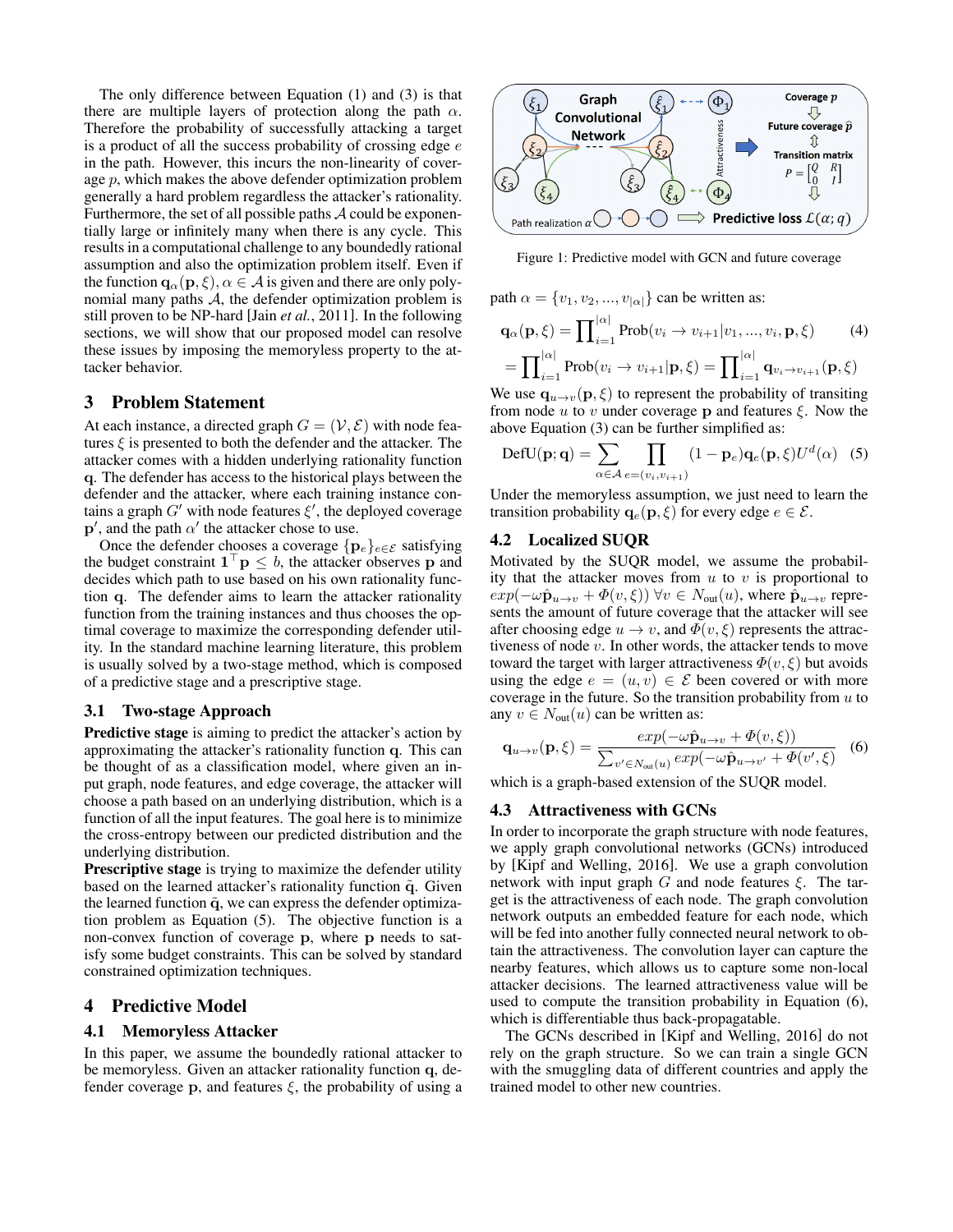The only difference between Equation [\(1\)](#page-1-0) and [\(3\)](#page-1-1) is that there are multiple layers of protection along the path  $\alpha$ . Therefore the probability of successfully attacking a target is a product of all the success probability of crossing edge  $e$ in the path. However, this incurs the non-linearity of coverage  $p$ , which makes the above defender optimization problem generally a hard problem regardless the attacker's rationality. Furthermore, the set of all possible paths  $A$  could be exponentially large or infinitely many when there is any cycle. This results in a computational challenge to any boundedly rational assumption and also the optimization problem itself. Even if the function  $\mathbf{q}_{\alpha}(\mathbf{p}, \xi), \alpha \in \mathcal{A}$  is given and there are only polynomial many paths  $A$ , the defender optimization problem is still proven to be NP-hard [Jain *et al.*[, 2011\]](#page-4-6). In the following sections, we will show that our proposed model can resolve these issues by imposing the memoryless property to the attacker behavior.

### 3 Problem Statement

At each instance, a directed graph  $G = (\mathcal{V}, \mathcal{E})$  with node features  $\xi$  is presented to both the defender and the attacker. The attacker comes with a hidden underlying rationality function q. The defender has access to the historical plays between the defender and the attacker, where each training instance contains a graph  $G'$  with node features  $\xi'$ , the deployed coverage  $\mathbf{p}'$ , and the path  $\alpha'$  the attacker chose to use.

Once the defender chooses a coverage  $\{p_e\}_{e \in \mathcal{E}}$  satisfying the budget constraint  $\mathbf{1}^\top \mathbf{p} \leq b$ , the attacker observes p and decides which path to use based on his own rationality function q. The defender aims to learn the attacker rationality function from the training instances and thus chooses the optimal coverage to maximize the corresponding defender utility. In the standard machine learning literature, this problem is usually solved by a two-stage method, which is composed of a predictive stage and a prescriptive stage.

### 3.1 Two-stage Approach

Predictive stage is aiming to predict the attacker's action by approximating the attacker's rationality function q. This can be thought of as a classification model, where given an input graph, node features, and edge coverage, the attacker will choose a path based on an underlying distribution, which is a function of all the input features. The goal here is to minimize the cross-entropy between our predicted distribution and the underlying distribution.

Prescriptive stage is trying to maximize the defender utility based on the learned attacker's rationality function  $\tilde{q}$ . Given the learned function  $\tilde{q}$ , we can express the defender optimization problem as Equation [\(5\)](#page-2-0). The objective function is a non-convex function of coverage p, where p needs to satisfy some budget constraints. This can be solved by standard constrained optimization techniques.

### 4 Predictive Model

### 4.1 Memoryless Attacker

In this paper, we assume the boundedly rational attacker to be memoryless. Given an attacker rationality function q, defender coverage p, and features  $\xi$ , the probability of using a



Figure 1: Predictive model with GCN and future coverage

path  $\alpha = \{v_1, v_2, ..., v_{|\alpha|}\}\)$  can be written as:

$$
\mathbf{q}_{\alpha}(\mathbf{p}, \xi) = \prod_{i=1}^{|\alpha|} \text{Prob}(v_i \to v_{i+1}|v_1, \dots, v_i, \mathbf{p}, \xi)
$$
(4)  
= 
$$
\prod_{i=1}^{|\alpha|} \text{Prob}(v_i \to v_{i+1}|\mathbf{p}, \xi) = \prod_{i=1}^{|\alpha|} \mathbf{q}_{v_i \to v_{i+1}}(\mathbf{p}, \xi)
$$

We use  $\mathbf{q}_{u\to v}(\mathbf{p}, \xi)$  to represent the probability of transiting from node  $u$  to  $v$  under coverage  $p$  and features  $\xi$ . Now the above Equation [\(3\)](#page-1-1) can be further simplified as:

<span id="page-2-0"></span>
$$
DefU(\mathbf{p}; \mathbf{q}) = \sum_{\alpha \in \mathcal{A}} \prod_{e = (v_i, v_{i+1})} (1 - \mathbf{p}_e) \mathbf{q}_e(\mathbf{p}, \xi) U^d(\alpha) \quad (5)
$$

Under the memoryless assumption, we just need to learn the transition probability  $q_e(p, \xi)$  for every edge  $e \in \mathcal{E}$ .

### 4.2 Localized SUQR

Motivated by the SUQR model, we assume the probability that the attacker moves from  $u$  to  $v$  is proportional to  $exp(-\omega \hat{\mathbf{p}}_{u\to v} + \Phi(v,\xi))$   $\forall v \in N_{\text{out}}(u)$ , where  $\hat{\mathbf{p}}_{u\to v}$  represents the amount of future coverage that the attacker will see after choosing edge  $u \to v$ , and  $\Phi(v, \xi)$  represents the attractiveness of node  $v$ . In other words, the attacker tends to move toward the target with larger attractiveness  $\Phi(v, \xi)$  but avoids using the edge  $e = (u, v) \in \mathcal{E}$  been covered or with more coverage in the future. So the transition probability from  $u$  to any  $v \in N_{\text{out}}(u)$  can be written as:

<span id="page-2-1"></span>
$$
\mathbf{q}_{u \to v}(\mathbf{p}, \xi) = \frac{exp(-\omega \hat{\mathbf{p}}_{u \to v} + \Phi(v, \xi))}{\sum_{v' \in N_{out}(u)} exp(-\omega \hat{\mathbf{p}}_{u \to v'} + \Phi(v', \xi))}
$$
(6)

which is a graph-based extension of the SUQR model.

### 4.3 Attractiveness with GCNs

In order to incorporate the graph structure with node features, we apply graph convolutional networks (GCNs) introduced by [\[Kipf and Welling, 2016\]](#page-4-14). We use a graph convolution network with input graph G and node features  $\xi$ . The target is the attractiveness of each node. The graph convolution network outputs an embedded feature for each node, which will be fed into another fully connected neural network to obtain the attractiveness. The convolution layer can capture the nearby features, which allows us to capture some non-local attacker decisions. The learned attractiveness value will be used to compute the transition probability in Equation [\(6\)](#page-2-1), which is differentiable thus back-propagatable.

The GCNs described in [\[Kipf and Welling, 2016\]](#page-4-14) do not rely on the graph structure. So we can train a single GCN with the smuggling data of different countries and apply the trained model to other new countries.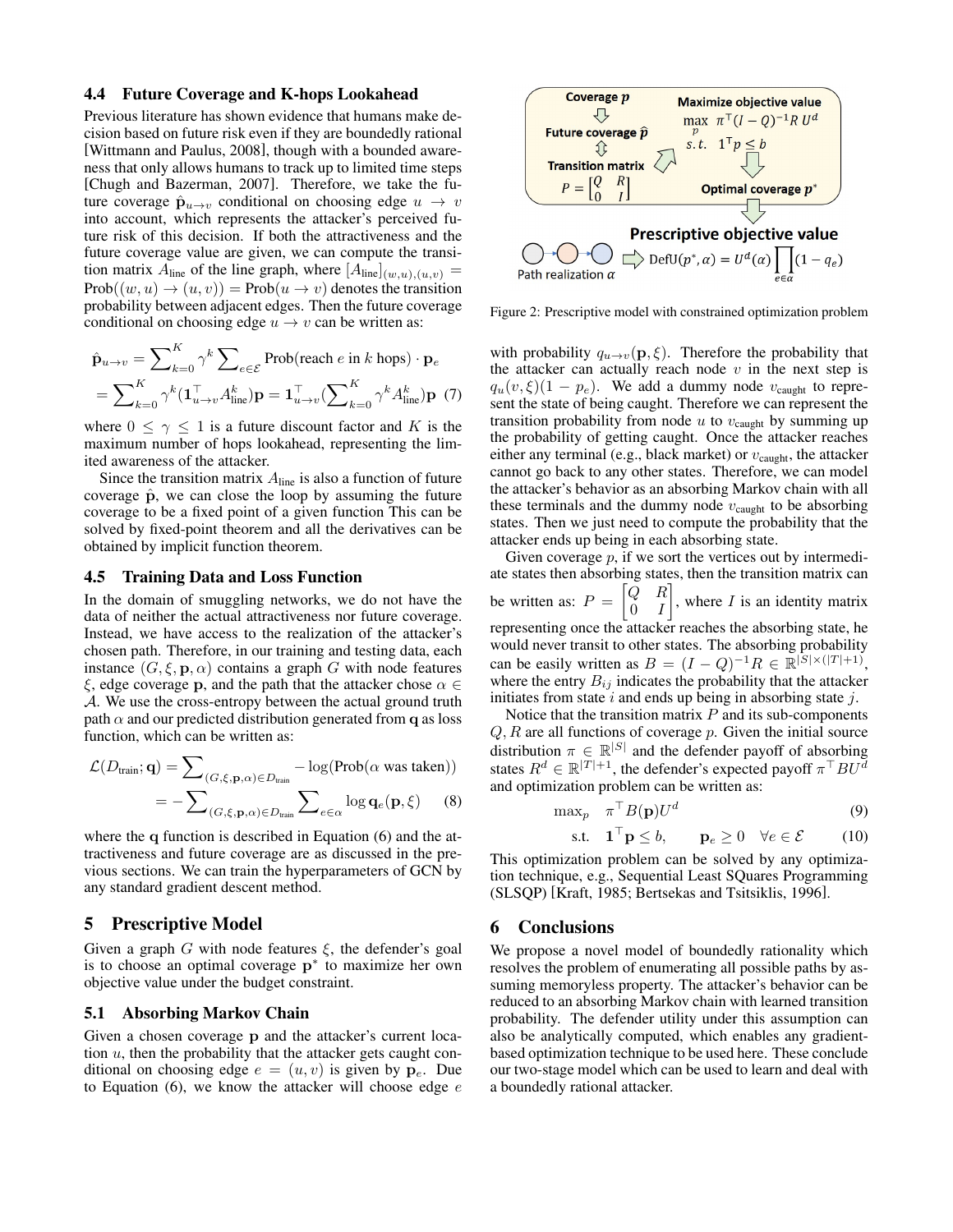### 4.4 Future Coverage and K-hops Lookahead

Previous literature has shown evidence that humans make decision based on future risk even if they are boundedly rational [\[Wittmann and Paulus, 2008\]](#page-4-15), though with a bounded awareness that only allows humans to track up to limited time steps [\[Chugh and Bazerman, 2007\]](#page-4-16). Therefore, we take the future coverage  $\hat{\mathbf{p}}_{u\to v}$  conditional on choosing edge  $u \to v$ into account, which represents the attacker's perceived future risk of this decision. If both the attractiveness and the future coverage value are given, we can compute the transition matrix  $A_{\text{line}}$  of the line graph, where  $[A_{\text{line}}]_{(w,u),(u,v)} =$  $Prob((w, u) \rightarrow (u, v)) = Prob(u \rightarrow v)$  denotes the transition probability between adjacent edges. Then the future coverage conditional on choosing edge  $u \to v$  can be written as:

$$
\hat{\mathbf{p}}_{u \to v} = \sum_{k=0}^{K} \gamma^{k} \sum_{e \in \mathcal{E}} \text{Prob}(\text{reach } e \text{ in } k \text{ hops}) \cdot \mathbf{p}_{e}
$$
\n
$$
= \sum_{k=0}^{K} \gamma^{k} (\mathbf{1}_{u \to v}^{\top} A_{\text{line}}^{k}) \mathbf{p} = \mathbf{1}_{u \to v}^{\top} (\sum_{k=0}^{K} \gamma^{k} A_{\text{line}}^{k}) \mathbf{p} \tag{7}
$$

where  $0 \leq \gamma \leq 1$  is a future discount factor and K is the maximum number of hops lookahead, representing the limited awareness of the attacker.

Since the transition matrix  $A_{\text{line}}$  is also a function of future coverage  $\hat{p}$ , we can close the loop by assuming the future coverage to be a fixed point of a given function This can be solved by fixed-point theorem and all the derivatives can be obtained by implicit function theorem.

### 4.5 Training Data and Loss Function

In the domain of smuggling networks, we do not have the data of neither the actual attractiveness nor future coverage. Instead, we have access to the realization of the attacker's chosen path. Therefore, in our training and testing data, each instance  $(G, \xi, \mathbf{p}, \alpha)$  contains a graph G with node features ξ, edge coverage p, and the path that the attacker chose  $\alpha \in \mathcal{L}$ A. We use the cross-entropy between the actual ground truth path  $\alpha$  and our predicted distribution generated from q as loss function, which can be written as:

$$
\mathcal{L}(D_{\text{train}}; \mathbf{q}) = \sum_{(G, \xi, \mathbf{p}, \alpha) \in D_{\text{train}}} -\log(\text{Prob}(\alpha \text{ was taken}))
$$

$$
= -\sum_{(G, \xi, \mathbf{p}, \alpha) \in D_{\text{train}}} \sum_{e \in \alpha} \log \mathbf{q}_e(\mathbf{p}, \xi) \qquad (8)
$$

where the q function is described in Equation [\(6\)](#page-2-1) and the attractiveness and future coverage are as discussed in the previous sections. We can train the hyperparameters of GCN by any standard gradient descent method.

### 5 Prescriptive Model

Given a graph G with node features  $\xi$ , the defender's goal is to choose an optimal coverage  $p^*$  to maximize her own objective value under the budget constraint.

### 5.1 Absorbing Markov Chain

Given a chosen coverage p and the attacker's current location  $u$ , then the probability that the attacker gets caught conditional on choosing edge  $e = (u, v)$  is given by  $p_e$ . Due to Equation  $(6)$ , we know the attacker will choose edge  $e$ 



Figure 2: Prescriptive model with constrained optimization problem

with probability  $q_{u\to v}(\mathbf{p}, \xi)$ . Therefore the probability that the attacker can actually reach node  $v$  in the next step is  $q_u(v, \xi)(1 - p_e)$ . We add a dummy node  $v_{\text{caught}}$  to represent the state of being caught. Therefore we can represent the transition probability from node  $u$  to  $v_{\text{caught}}$  by summing up the probability of getting caught. Once the attacker reaches either any terminal (e.g., black market) or  $v_{\text{caught}}$ , the attacker cannot go back to any other states. Therefore, we can model the attacker's behavior as an absorbing Markov chain with all these terminals and the dummy node  $v_{\text{caught}}$  to be absorbing states. Then we just need to compute the probability that the attacker ends up being in each absorbing state.

Given coverage  $p$ , if we sort the vertices out by intermediate states then absorbing states, then the transition matrix can be written as:  $P = \begin{bmatrix} Q & R \\ 0 & I \end{bmatrix}$  $0 \quad I$ , where  $I$  is an identity matrix representing once the attacker reaches the absorbing state, he would never transit to other states. The absorbing probability can be easily written as  $B = (I - Q)^{-1}R \in \mathbb{R}^{|\overline{S}| \times (|T| + 1)},$ where the entry  $B_{ij}$  indicates the probability that the attacker initiates from state  $i$  and ends up being in absorbing state  $j$ .

Notice that the transition matrix  $P$  and its sub-components  $Q, R$  are all functions of coverage  $p$ . Given the initial source distribution  $\pi \in \mathbb{R}^{|S|}$  and the defender payoff of absorbing states  $R^d \in \mathbb{R}^{|T|+1}$ , the defender's expected payoff  $\pi^\top B U^d$ and optimization problem can be written as:

$$
\max_{p} \quad \pi^{\top} B(\mathbf{p}) U^{d} \tag{9}
$$

$$
\text{s.t.} \quad \mathbf{1}^{\top} \mathbf{p} \le b, \qquad \mathbf{p}_e \ge 0 \quad \forall e \in \mathcal{E} \tag{10}
$$

This optimization problem can be solved by any optimization technique, e.g., Sequential Least SQuares Programming (SLSQP) [\[Kraft, 1985;](#page-4-17) [Bertsekas and Tsitsiklis, 1996\]](#page-4-18).

#### 6 Conclusions

We propose a novel model of boundedly rationality which resolves the problem of enumerating all possible paths by assuming memoryless property. The attacker's behavior can be reduced to an absorbing Markov chain with learned transition probability. The defender utility under this assumption can also be analytically computed, which enables any gradientbased optimization technique to be used here. These conclude our two-stage model which can be used to learn and deal with a boundedly rational attacker.